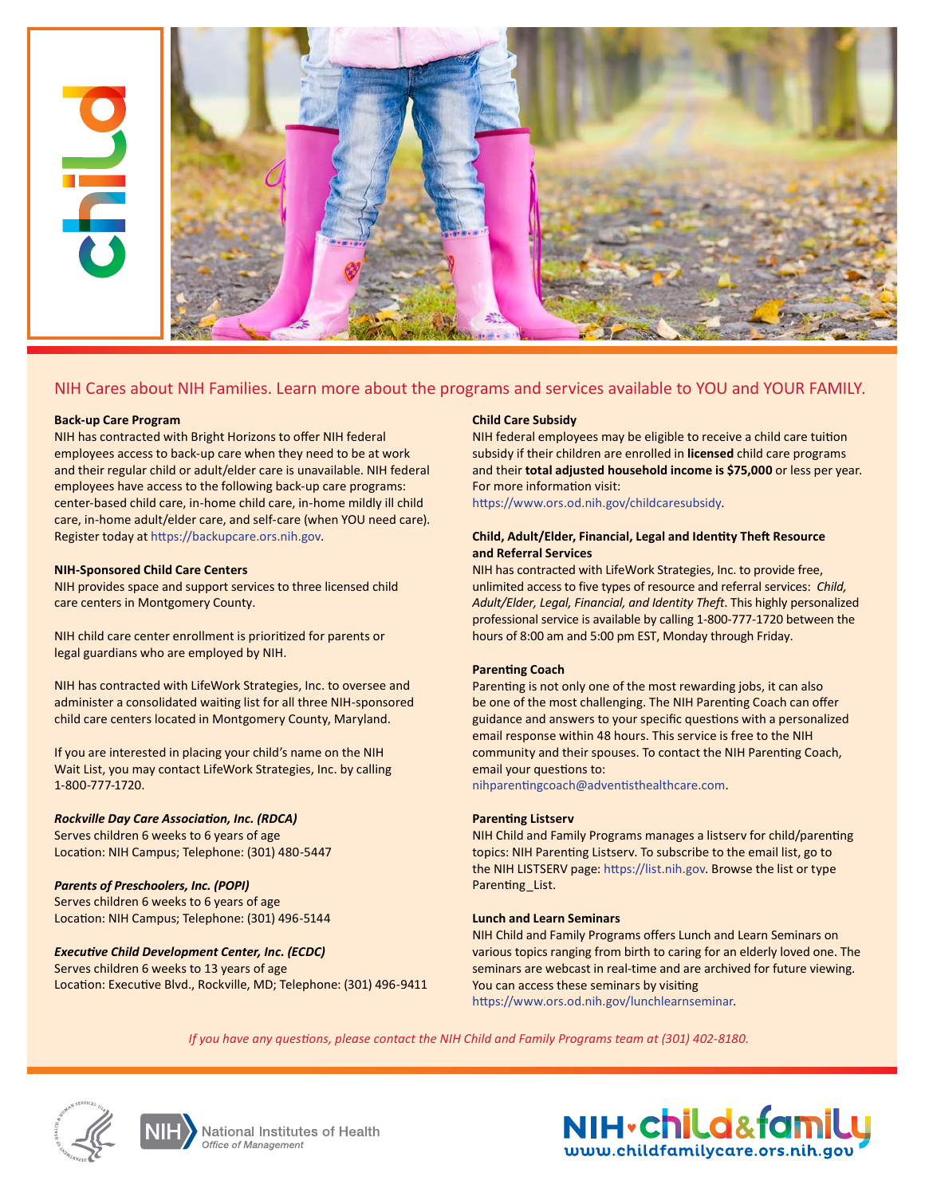

## **Back-up Care Program**

NIH has contracted with Bright Horizons to offer NIH federal employees access to back-up care when they need to be at work and their regular child or adult/elder care is unavailable. NIH federal employees have access to the following back-up care programs: center-based child care, in-home child care, in-home mildly ill child care, in-home adult/elder care, and self-care (when YOU need care). Register today at [https://backupcare.ors.nih.gov.](https://backupcare.ors.nih.gov)

### **NIH-Sponsored Child Care Centers**

NIH provides space and support services to three licensed child care centers in Montgomery County.

NIH child care center enrollment is prioritized for parents or legal guardians who are employed by NIH.

NIH has contracted with LifeWork Strategies, Inc. to oversee and administer a consolidated waiting list for all three NIH-sponsored child care centers located in Montgomery County, Maryland.

If you are interested in placing your child's name on the NIH Wait List, you may contact LifeWork Strategies, Inc. by calling 1-800-777-1720.

# *Rockville Day Care Association, Inc. (RDCA)*

Serves children 6 weeks to 6 years of age Location: NIH Campus; Telephone: (301) 480-5447

*Parents of Preschoolers, Inc. (POPI)* Serves children 6 weeks to 6 years of age Location: NIH Campus; Telephone: (301) 496-5144

*Executive Child Development Center, Inc. (ECDC)* Serves children 6 weeks to 13 years of age Location: Executive Blvd., Rockville, MD; Telephone: (301) 496-9411

### **Child Care Subsidy**

NIH federal employees may be eligible to receive a child care tuition subsidy if their children are enrolled in **licensed** child care programs and their **total adjusted household income is \$75,000** or less per year. For more information visit:

[https://www.ors.od.nih.gov/childcaresubsidy.](https://www.ors.od.nih.gov/childcaresubsidy)

# **Child, Adult/Elder, Financial, Legal and Identity Theft Resource and Referral Services**

NIH has contracted with LifeWork Strategies, Inc. to provide free, unlimited access to five types of resource and referral services: *Child, Adult/Elder, Legal, Financial, and Identity Theft*. This highly personalized professional service is available by calling 1-800-777-1720 between the hours of 8:00 am and 5:00 pm EST, Monday through Friday.

### **Parenting Coach**

Parenting is not only one of the most rewarding jobs, it can also be one of the most challenging. The NIH Parenting Coach can offer guidance and answers to your specific questions with a personalized email response within 48 hours. This service is free to the NIH community and their spouses. To contact the NIH Parenting Coach, email your questions to:

[nihparentingcoach@adventisthealthcare.com](mailto:nihparentingcoach@adventisthealthcare.com).

### **Parenting Listserv**

NIH Child and Family Programs manages a listserv for child/parenting topics: NIH Parenting Listserv. To subscribe to the email list, go to the NIH LISTSERV page: [https://list.nih.gov.](https://list.nih.gov) Browse the list or type Parenting\_List.

## **Lunch and Learn Seminars**

NIH Child and Family Programs offers Lunch and Learn Seminars on various topics ranging from birth to caring for an elderly loved one. The seminars are webcast in real-time and are archived for future viewing. You can access these seminars by visiting [https://www.ors.od.nih.gov/lunchlearnseminar.](https://www.ors.od.nih.gov/lunchlearnseminar)

*If you have any questions, please contact the NIH Child and Family Programs team at (301) 402-8180.*







National Institutes of Health Office of Management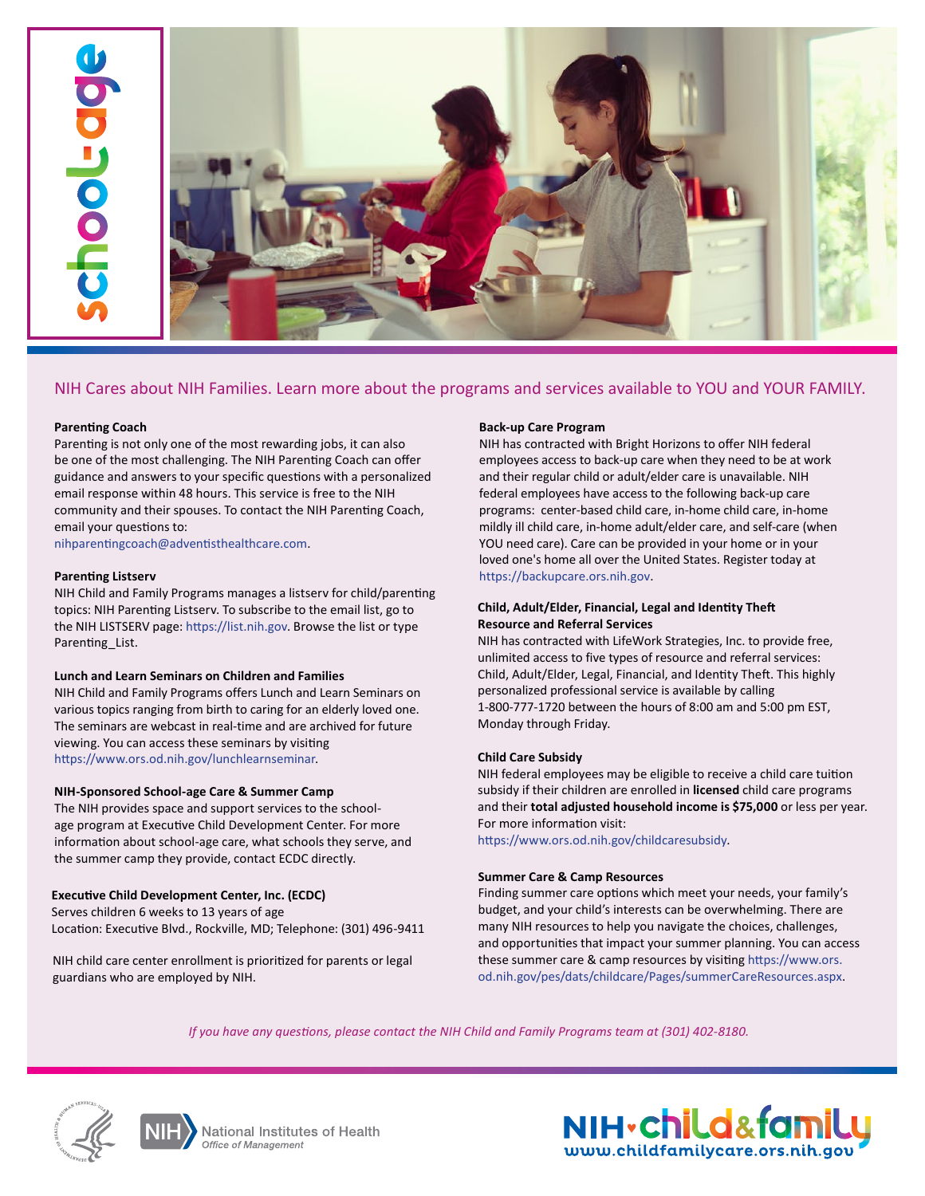

## **Parenting Coach**

Parenting is not only one of the most rewarding jobs, it can also be one of the most challenging. The NIH Parenting Coach can offer guidance and answers to your specific questions with a personalized email response within 48 hours. This service is free to the NIH community and their spouses. To contact the NIH Parenting Coach, email your questions to:

<nihparentingcoach@adventisthealthcare.com>.

### **Parenting Listserv**

NIH Child and Family Programs manages a listserv for child/parenting topics: NIH Parenting Listserv. To subscribe to the email list, go to the NIH LISTSERV page:<https://list.nih.gov>. Browse the list or type Parenting\_List.

### **Lunch and Learn Seminars on Children and Families**

NIH Child and Family Programs offers Lunch and Learn Seminars on various topics ranging from birth to caring for an elderly loved one. The seminars are webcast in real-time and are archived for future viewing. You can access these seminars by visiting [https://www.ors.od.nih.gov/lunchlearnseminar.](https://www.ors.od.nih.gov/lunchlearnseminar)

### **NIH-Sponsored School-age Care & Summer Camp**

The NIH provides space and support services to the schoolage program at Executive Child Development Center. For more information about school-age care, what schools they serve, and the summer camp they provide, contact ECDC directly.

## **Executive Child Development Center, Inc. (ECDC)**

Serves children 6 weeks to 13 years of age Location: Executive Blvd., Rockville, MD; Telephone: (301) 496-9411

NIH child care center enrollment is prioritized for parents or legal guardians who are employed by NIH.

## **Back-up Care Program**

NIH has contracted with Bright Horizons to offer NIH federal employees access to back-up care when they need to be at work and their regular child or adult/elder care is unavailable. NIH federal employees have access to the following back-up care programs: center-based child care, in-home child care, in-home mildly ill child care, in-home adult/elder care, and self-care (when YOU need care). Care can be provided in your home or in your loved one's home all over the United States. Register today at [https://backupcare.ors.nih.gov.](https://backupcare.ors.nih.gov)

# **Child, Adult/Elder, Financial, Legal and Identity Theft Resource and Referral Services**

NIH has contracted with LifeWork Strategies, Inc. to provide free, unlimited access to five types of resource and referral services: Child, Adult/Elder, Legal, Financial, and Identity Theft. This highly personalized professional service is available by calling 1-800-777-1720 between the hours of 8:00 am and 5:00 pm EST, Monday through Friday.

# **Child Care Subsidy**

NIH federal employees may be eligible to receive a child care tuition subsidy if their children are enrolled in **licensed** child care programs and their **total adjusted household income is \$75,000** or less per year. For more information visit:

[https://www.ors.od.nih.gov/childcaresubsidy.](https://www.ors.od.nih.gov/childcaresubsidy)

### **Summer Care & Camp Resources**

Finding summer care options which meet your needs, your family's budget, and your child's interests can be overwhelming. There are many NIH resources to help you navigate the choices, challenges, and opportunities that impact your summer planning. You can access these summer care & camp resources by visiting https://www.ors. [od.nih.gov/pes/dats/childcare/Pages/summerCareResources.aspx.](https://www.ors.od.nih.gov/pes/dats/childcare/Pages/summerCareResources.aspx)

*If you have any questions, please contact the NIH Child and Family Programs team at (301) 402-8180.*







**National Institutes of Health** Office of Management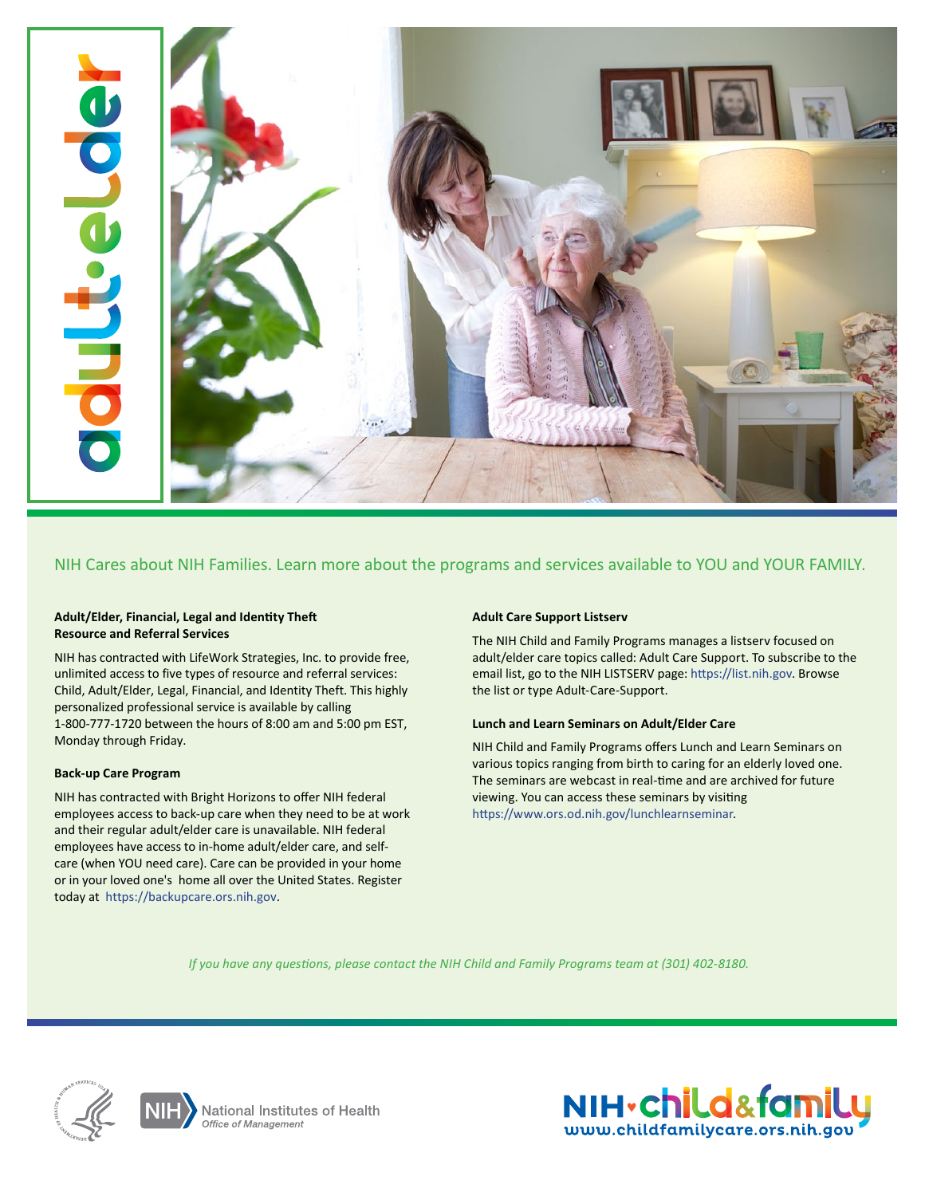

# **Adult/Elder, Financial, Legal and Identity Theft Resource and Referral Services**

NIH has contracted with LifeWork Strategies, Inc. to provide free, unlimited access to five types of resource and referral services: Child, Adult/Elder, Legal, Financial, and Identity Theft. This highly personalized professional service is available by calling 1-800-777-1720 between the hours of 8:00 am and 5:00 pm EST, Monday through Friday.

### **Back-up Care Program**

NIH has contracted with Bright Horizons to offer NIH federal employees access to back-up care when they need to be at work and their regular adult/elder care is unavailable. NIH federal employees have access to in-home adult/elder care, and selfcare (when YOU need care). Care can be provided in your home or in your loved one's home all over the United States. Register today at <https://backupcare.ors.nih.gov>.

# **Adult Care Support Listserv**

The NIH Child and Family Programs manages a listserv focused on adult/elder care topics called: Adult Care Support. To subscribe to the email list, go to the NIH LISTSERV page: [https://list.nih.gov.](https://list.nih.gov) Browse the list or type Adult-Care-Support.

## **Lunch and Learn Seminars on Adult/Elder Care**

NIH Child and Family Programs offers Lunch and Learn Seminars on various topics ranging from birth to caring for an elderly loved one. The seminars are webcast in real-time and are archived for future viewing. You can access these seminars by visiting [https://www.ors.od.nih.gov/lunchlearnseminar.](https://www.ors.od.nih.gov/lunchlearnseminar)

*If you have any questions, please contact the NIH Child and Family Programs team at (301) 402-8180.*